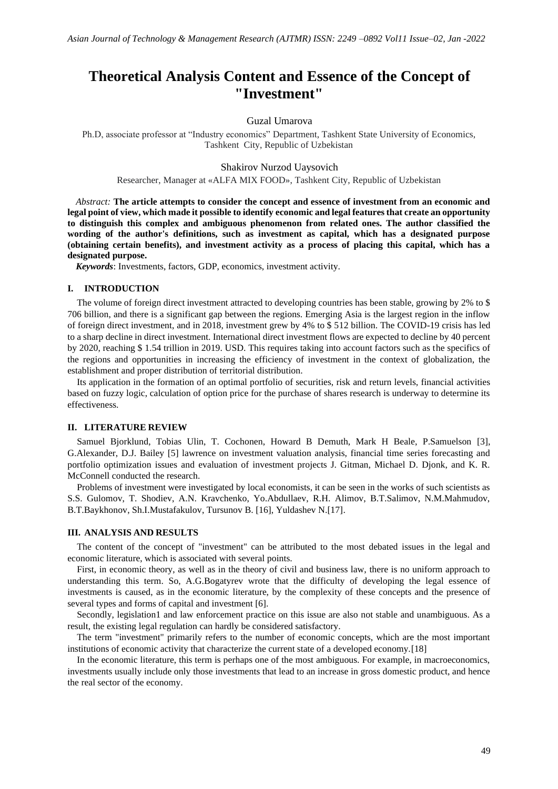# **Theoretical Analysis Content and Essence of the Concept of "Investment"**

### Guzal Umarova

Ph.D, associate professor at "Industry economics" Department, Tashkent State University of Economics, Tashkent City, Republic of Uzbekistan

Shakirov Nurzod Uaysovich

Researcher, Manager at «ALFA MIX FOOD», Tashkent City, Republic of Uzbekistan

*Abstract:* **The article attempts to consider the concept and essence of investment from an economic and legal point of view, which made it possible to identify economic and legal features that create an opportunity to distinguish this complex and ambiguous phenomenon from related ones. The author classified the wording of the author's definitions, such as investment as capital, which has a designated purpose (obtaining certain benefits), and investment activity as a process of placing this capital, which has a designated purpose.**

*Keywords*: Investments, factors, GDP, economics, investment activity.

#### **I. INTRODUCTION**

The volume of foreign direct investment attracted to developing countries has been stable, growing by 2% to \$ 706 billion, and there is a significant gap between the regions. Emerging Asia is the largest region in the inflow of foreign direct investment, and in 2018, investment grew by 4% to \$ 512 billion. The COVID-19 crisis has led to a sharp decline in direct investment. International direct investment flows are expected to decline by 40 percent by 2020, reaching \$ 1.54 trillion in 2019. USD. This requires taking into account factors such as the specifics of the regions and opportunities in increasing the efficiency of investment in the context of globalization, the establishment and proper distribution of territorial distribution.

Its application in the formation of an optimal portfolio of securities, risk and return levels, financial activities based on fuzzy logic, calculation of option price for the purchase of shares research is underway to determine its effectiveness.

#### **II. LITERATURE REVIEW**

Samuel Bjorklund, Tobias Ulin, T. Cochonen, Howard B Demuth, Mark H Beale, P.Samuelson [3], G.Alexander, D.J. Bailey [5] lawrence on investment valuation analysis, financial time series forecasting and portfolio optimization issues and evaluation of investment projects J. Gitman, Michael D. Djonk, and K. R. McConnell conducted the research.

Problems of investment were investigated by local economists, it can be seen in the works of such scientists as S.S. Gulomov, T. Shodiev, A.N. Kravchenko, Yo.Abdullaev, R.H. Alimov, B.T.Salimov, N.M.Mahmudov, B.T.Baykhonov, Sh.I.Mustafakulov, Tursunov B. [16], Yuldashev N.[17].

### **III. ANALYSIS AND RESULTS**

The content of the concept of "investment" can be attributed to the most debated issues in the legal and economic literature, which is associated with several points.

First, in economic theory, as well as in the theory of civil and business law, there is no uniform approach to understanding this term. So, A.G.Bogatyrev wrote that the difficulty of developing the legal essence of investments is caused, as in the economic literature, by the complexity of these concepts and the presence of several types and forms of capital and investment [6].

Secondly, legislation1 and law enforcement practice on this issue are also not stable and unambiguous. As a result, the existing legal regulation can hardly be considered satisfactory.

The term "investment" primarily refers to the number of economic concepts, which are the most important institutions of economic activity that characterize the current state of a developed economy.[18]

In the economic literature, this term is perhaps one of the most ambiguous. For example, in macroeconomics, investments usually include only those investments that lead to an increase in gross domestic product, and hence the real sector of the economy.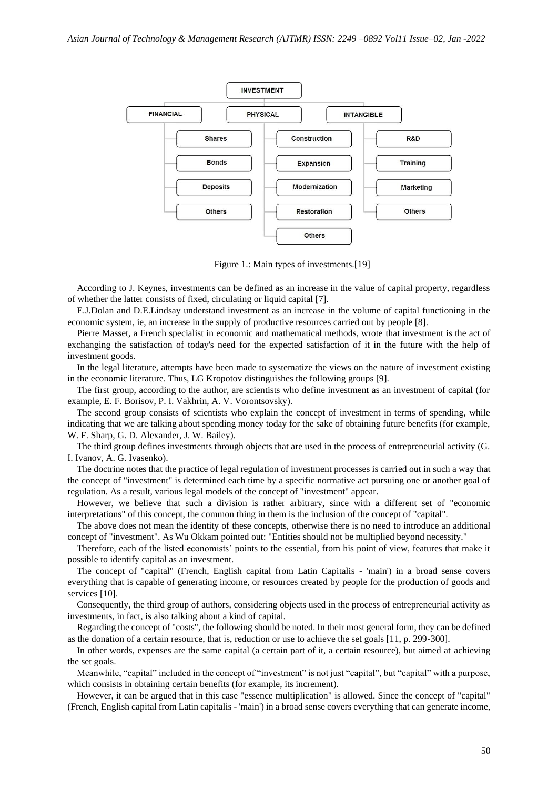

Figure 1.: Main types of investments.[19]

According to J. Keynes, investments can be defined as an increase in the value of capital property, regardless of whether the latter consists of fixed, circulating or liquid capital [7].

E.J.Dolan and D.E.Lindsay understand investment as an increase in the volume of capital functioning in the economic system, ie, an increase in the supply of productive resources carried out by people [8].

Pierre Masset, a French specialist in economic and mathematical methods, wrote that investment is the act of exchanging the satisfaction of today's need for the expected satisfaction of it in the future with the help of investment goods.

In the legal literature, attempts have been made to systematize the views on the nature of investment existing in the economic literature. Thus, LG Kropotov distinguishes the following groups [9].

The first group, according to the author, are scientists who define investment as an investment of capital (for example, E. F. Borisov, P. I. Vakhrin, A. V. Vorontsovsky).

The second group consists of scientists who explain the concept of investment in terms of spending, while indicating that we are talking about spending money today for the sake of obtaining future benefits (for example, W. F. Sharp, G. D. Alexander, J. W. Bailey).

The third group defines investments through objects that are used in the process of entrepreneurial activity (G. I. Ivanov, A. G. Ivasenko).

The doctrine notes that the practice of legal regulation of investment processes is carried out in such a way that the concept of "investment" is determined each time by a specific normative act pursuing one or another goal of regulation. As a result, various legal models of the concept of "investment" appear.

However, we believe that such a division is rather arbitrary, since with a different set of "economic interpretations" of this concept, the common thing in them is the inclusion of the concept of "capital".

The above does not mean the identity of these concepts, otherwise there is no need to introduce an additional concept of "investment". As Wu Okkam pointed out: "Entities should not be multiplied beyond necessity."

Therefore, each of the listed economists' points to the essential, from his point of view, features that make it possible to identify capital as an investment.

The concept of "capital" (French, English capital from Latin Capitalis - 'main') in a broad sense covers everything that is capable of generating income, or resources created by people for the production of goods and services [10].

Consequently, the third group of authors, considering objects used in the process of entrepreneurial activity as investments, in fact, is also talking about a kind of capital.

Regarding the concept of "costs", the following should be noted. In their most general form, they can be defined as the donation of a certain resource, that is, reduction or use to achieve the set goals [11, p. 299-300].

In other words, expenses are the same capital (a certain part of it, a certain resource), but aimed at achieving the set goals.

Meanwhile, "capital" included in the concept of "investment" is not just "capital", but "capital" with a purpose, which consists in obtaining certain benefits (for example, its increment).

However, it can be argued that in this case "essence multiplication" is allowed. Since the concept of "capital" (French, English capital from Latin capitalis - 'main') in a broad sense covers everything that can generate income,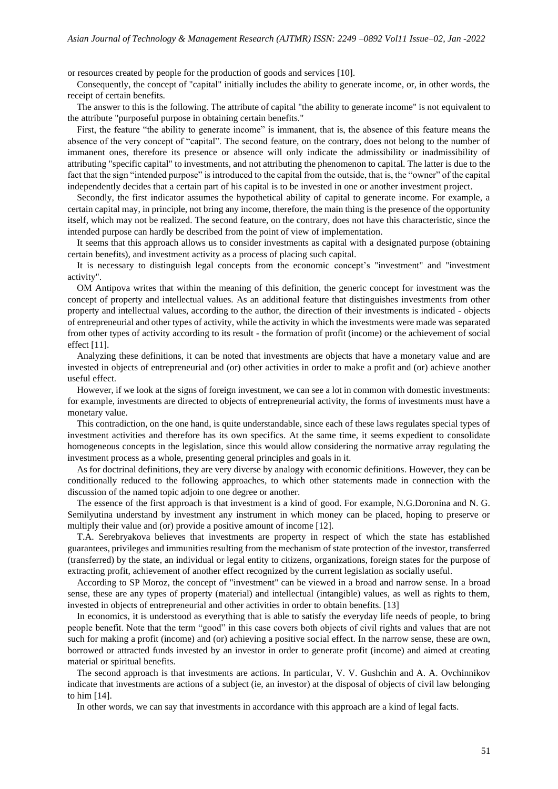or resources created by people for the production of goods and services [10].

Consequently, the concept of "capital" initially includes the ability to generate income, or, in other words, the receipt of certain benefits.

The answer to this is the following. The attribute of capital "the ability to generate income" is not equivalent to the attribute "purposeful purpose in obtaining certain benefits."

First, the feature "the ability to generate income" is immanent, that is, the absence of this feature means the absence of the very concept of "capital". The second feature, on the contrary, does not belong to the number of immanent ones, therefore its presence or absence will only indicate the admissibility or inadmissibility of attributing "specific capital" to investments, and not attributing the phenomenon to capital. The latter is due to the fact that the sign "intended purpose" is introduced to the capital from the outside, that is, the "owner" of the capital independently decides that a certain part of his capital is to be invested in one or another investment project.

Secondly, the first indicator assumes the hypothetical ability of capital to generate income. For example, a certain capital may, in principle, not bring any income, therefore, the main thing is the presence of the opportunity itself, which may not be realized. The second feature, on the contrary, does not have this characteristic, since the intended purpose can hardly be described from the point of view of implementation.

It seems that this approach allows us to consider investments as capital with a designated purpose (obtaining certain benefits), and investment activity as a process of placing such capital.

It is necessary to distinguish legal concepts from the economic concept's "investment" and "investment" activity".

OM Antipova writes that within the meaning of this definition, the generic concept for investment was the concept of property and intellectual values. As an additional feature that distinguishes investments from other property and intellectual values, according to the author, the direction of their investments is indicated - objects of entrepreneurial and other types of activity, while the activity in which the investments were made was separated from other types of activity according to its result - the formation of profit (income) or the achievement of social effect [11].

Analyzing these definitions, it can be noted that investments are objects that have a monetary value and are invested in objects of entrepreneurial and (or) other activities in order to make a profit and (or) achieve another useful effect.

However, if we look at the signs of foreign investment, we can see a lot in common with domestic investments: for example, investments are directed to objects of entrepreneurial activity, the forms of investments must have a monetary value.

This contradiction, on the one hand, is quite understandable, since each of these laws regulates special types of investment activities and therefore has its own specifics. At the same time, it seems expedient to consolidate homogeneous concepts in the legislation, since this would allow considering the normative array regulating the investment process as a whole, presenting general principles and goals in it.

As for doctrinal definitions, they are very diverse by analogy with economic definitions. However, they can be conditionally reduced to the following approaches, to which other statements made in connection with the discussion of the named topic adjoin to one degree or another.

The essence of the first approach is that investment is a kind of good. For example, N.G.Doronina and N. G. Semilyutina understand by investment any instrument in which money can be placed, hoping to preserve or multiply their value and (or) provide a positive amount of income [12].

T.A. Serebryakova believes that investments are property in respect of which the state has established guarantees, privileges and immunities resulting from the mechanism of state protection of the investor, transferred (transferred) by the state, an individual or legal entity to citizens, organizations, foreign states for the purpose of extracting profit, achievement of another effect recognized by the current legislation as socially useful.

According to SP Moroz, the concept of "investment" can be viewed in a broad and narrow sense. In a broad sense, these are any types of property (material) and intellectual (intangible) values, as well as rights to them, invested in objects of entrepreneurial and other activities in order to obtain benefits. [13]

In economics, it is understood as everything that is able to satisfy the everyday life needs of people, to bring people benefit. Note that the term "good" in this case covers both objects of civil rights and values that are not such for making a profit (income) and (or) achieving a positive social effect. In the narrow sense, these are own, borrowed or attracted funds invested by an investor in order to generate profit (income) and aimed at creating material or spiritual benefits.

The second approach is that investments are actions. In particular, V. V. Gushchin and A. A. Ovchinnikov indicate that investments are actions of a subject (ie, an investor) at the disposal of objects of civil law belonging to him [14].

In other words, we can say that investments in accordance with this approach are a kind of legal facts.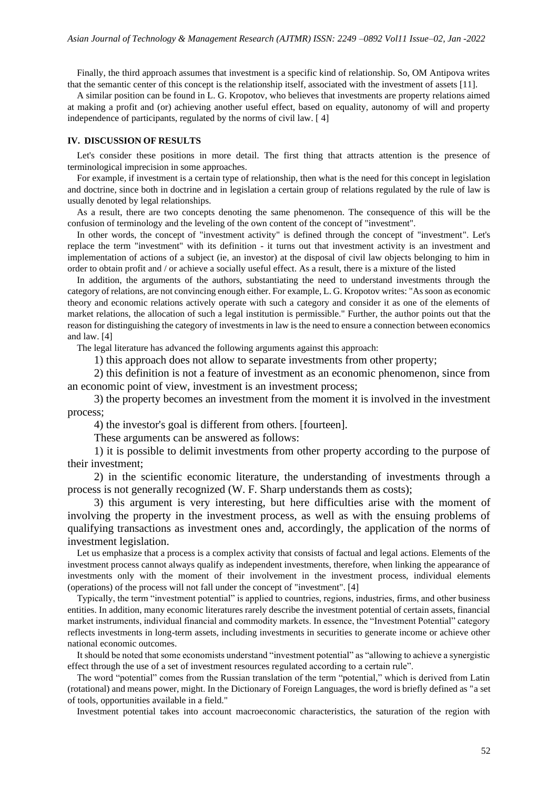Finally, the third approach assumes that investment is a specific kind of relationship. So, OM Antipova writes that the semantic center of this concept is the relationship itself, associated with the investment of assets [11].

A similar position can be found in L. G. Kropotov, who believes that investments are property relations aimed at making a profit and (or) achieving another useful effect, based on equality, autonomy of will and property independence of participants, regulated by the norms of civil law. [ 4]

### **IV. DISCUSSION OF RESULTS**

Let's consider these positions in more detail. The first thing that attracts attention is the presence of terminological imprecision in some approaches.

For example, if investment is a certain type of relationship, then what is the need for this concept in legislation and doctrine, since both in doctrine and in legislation a certain group of relations regulated by the rule of law is usually denoted by legal relationships.

As a result, there are two concepts denoting the same phenomenon. The consequence of this will be the confusion of terminology and the leveling of the own content of the concept of "investment".

In other words, the concept of "investment activity" is defined through the concept of "investment". Let's replace the term "investment" with its definition - it turns out that investment activity is an investment and implementation of actions of a subject (ie, an investor) at the disposal of civil law objects belonging to him in order to obtain profit and / or achieve a socially useful effect. As a result, there is a mixture of the listed

In addition, the arguments of the authors, substantiating the need to understand investments through the category of relations, are not convincing enough either. For example, L. G. Kropotov writes: "As soon as economic theory and economic relations actively operate with such a category and consider it as one of the elements of market relations, the allocation of such a legal institution is permissible." Further, the author points out that the reason for distinguishing the category of investments in law is the need to ensure a connection between economics and law. [4]

The legal literature has advanced the following arguments against this approach:

1) this approach does not allow to separate investments from other property;

2) this definition is not a feature of investment as an economic phenomenon, since from an economic point of view, investment is an investment process;

3) the property becomes an investment from the moment it is involved in the investment process;

4) the investor's goal is different from others. [fourteen].

These arguments can be answered as follows:

1) it is possible to delimit investments from other property according to the purpose of their investment;

2) in the scientific economic literature, the understanding of investments through a process is not generally recognized (W. F. Sharp understands them as costs);

3) this argument is very interesting, but here difficulties arise with the moment of involving the property in the investment process, as well as with the ensuing problems of qualifying transactions as investment ones and, accordingly, the application of the norms of investment legislation.

Let us emphasize that a process is a complex activity that consists of factual and legal actions. Elements of the investment process cannot always qualify as independent investments, therefore, when linking the appearance of investments only with the moment of their involvement in the investment process, individual elements (operations) of the process will not fall under the concept of "investment". [4]

Typically, the term "investment potential" is applied to countries, regions, industries, firms, and other business entities. In addition, many economic literatures rarely describe the investment potential of certain assets, financial market instruments, individual financial and commodity markets. In essence, the "Investment Potential" category reflects investments in long-term assets, including investments in securities to generate income or achieve other national economic outcomes.

It should be noted that some economists understand "investment potential" as "allowing to achieve a synergistic effect through the use of a set of investment resources regulated according to a certain rule".

The word "potential" comes from the Russian translation of the term "potential," which is derived from Latin (rotational) and means power, might. In the Dictionary of Foreign Languages, the word is briefly defined as "a set of tools, opportunities available in a field."

Investment potential takes into account macroeconomic characteristics, the saturation of the region with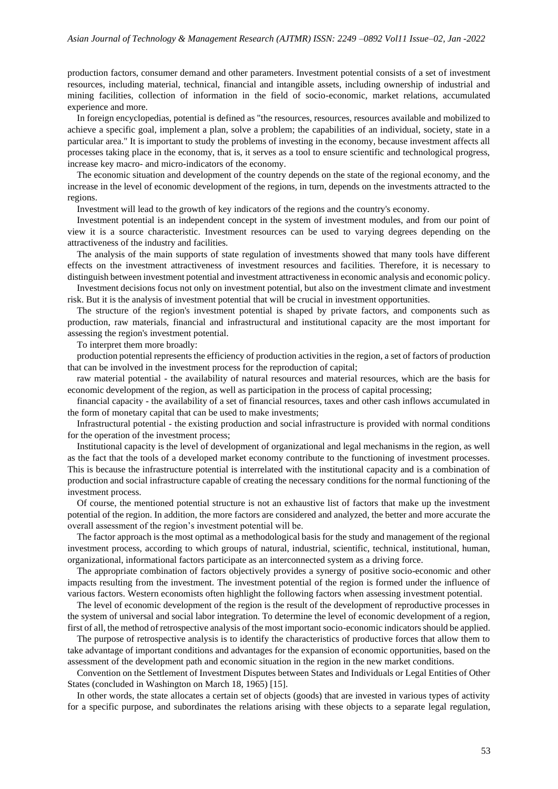production factors, consumer demand and other parameters. Investment potential consists of a set of investment resources, including material, technical, financial and intangible assets, including ownership of industrial and mining facilities, collection of information in the field of socio-economic, market relations, accumulated experience and more.

In foreign encyclopedias, potential is defined as "the resources, resources, resources available and mobilized to achieve a specific goal, implement a plan, solve a problem; the capabilities of an individual, society, state in a particular area." It is important to study the problems of investing in the economy, because investment affects all processes taking place in the economy, that is, it serves as a tool to ensure scientific and technological progress, increase key macro- and micro-indicators of the economy.

The economic situation and development of the country depends on the state of the regional economy, and the increase in the level of economic development of the regions, in turn, depends on the investments attracted to the regions.

Investment will lead to the growth of key indicators of the regions and the country's economy.

Investment potential is an independent concept in the system of investment modules, and from our point of view it is a source characteristic. Investment resources can be used to varying degrees depending on the attractiveness of the industry and facilities.

The analysis of the main supports of state regulation of investments showed that many tools have different effects on the investment attractiveness of investment resources and facilities. Therefore, it is necessary to distinguish between investment potential and investment attractiveness in economic analysis and economic policy.

Investment decisions focus not only on investment potential, but also on the investment climate and investment risk. But it is the analysis of investment potential that will be crucial in investment opportunities.

The structure of the region's investment potential is shaped by private factors, and components such as production, raw materials, financial and infrastructural and institutional capacity are the most important for assessing the region's investment potential.

To interpret them more broadly:

production potential represents the efficiency of production activities in the region, a set of factors of production that can be involved in the investment process for the reproduction of capital;

raw material potential - the availability of natural resources and material resources, which are the basis for economic development of the region, as well as participation in the process of capital processing;

financial capacity - the availability of a set of financial resources, taxes and other cash inflows accumulated in the form of monetary capital that can be used to make investments;

Infrastructural potential - the existing production and social infrastructure is provided with normal conditions for the operation of the investment process;

Institutional capacity is the level of development of organizational and legal mechanisms in the region, as well as the fact that the tools of a developed market economy contribute to the functioning of investment processes. This is because the infrastructure potential is interrelated with the institutional capacity and is a combination of production and social infrastructure capable of creating the necessary conditions for the normal functioning of the investment process.

Of course, the mentioned potential structure is not an exhaustive list of factors that make up the investment potential of the region. In addition, the more factors are considered and analyzed, the better and more accurate the overall assessment of the region's investment potential will be.

The factor approach is the most optimal as a methodological basis for the study and management of the regional investment process, according to which groups of natural, industrial, scientific, technical, institutional, human, organizational, informational factors participate as an interconnected system as a driving force.

The appropriate combination of factors objectively provides a synergy of positive socio-economic and other impacts resulting from the investment. The investment potential of the region is formed under the influence of various factors. Western economists often highlight the following factors when assessing investment potential.

The level of economic development of the region is the result of the development of reproductive processes in the system of universal and social labor integration. To determine the level of economic development of a region, first of all, the method of retrospective analysis of the most important socio-economic indicators should be applied.

The purpose of retrospective analysis is to identify the characteristics of productive forces that allow them to take advantage of important conditions and advantages for the expansion of economic opportunities, based on the assessment of the development path and economic situation in the region in the new market conditions.

Convention on the Settlement of Investment Disputes between States and Individuals or Legal Entities of Other States (concluded in Washington on March 18, 1965) [15].

In other words, the state allocates a certain set of objects (goods) that are invested in various types of activity for a specific purpose, and subordinates the relations arising with these objects to a separate legal regulation,